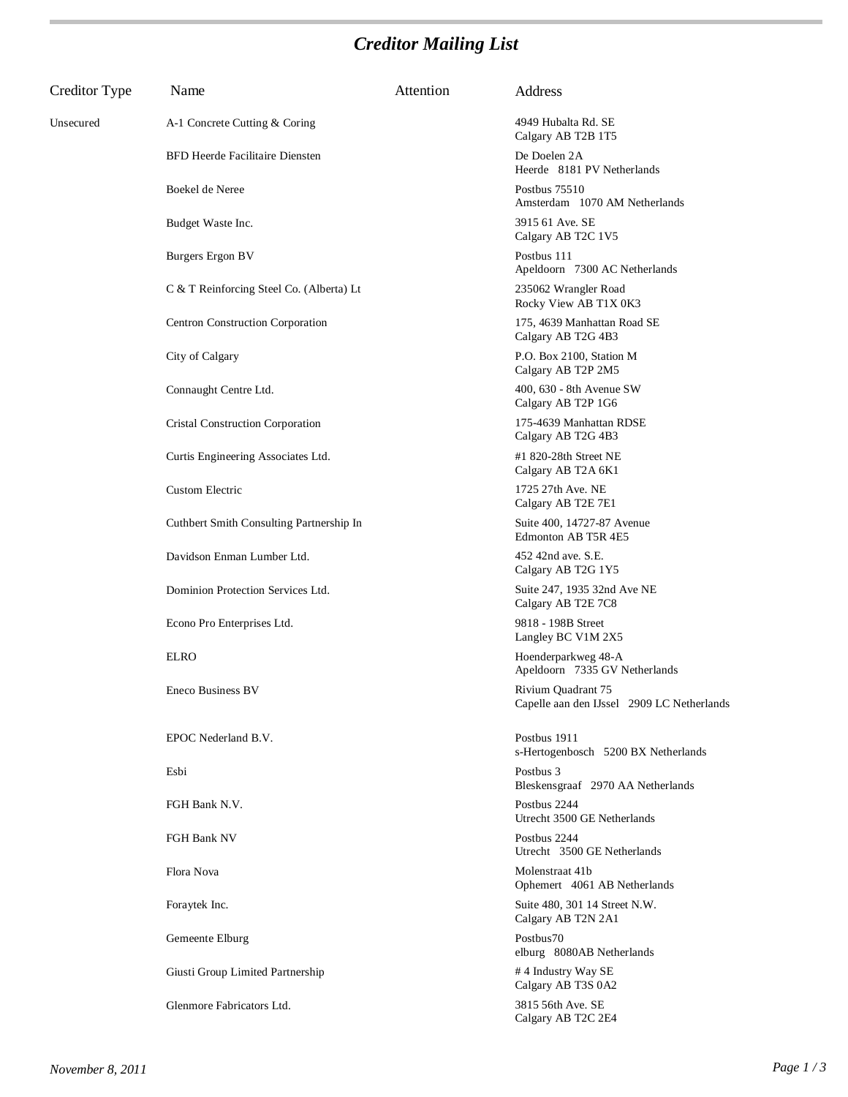## *Creditor Mailing List*

| Creditor Type | Name                                     | Attention | Address                                                          |
|---------------|------------------------------------------|-----------|------------------------------------------------------------------|
| Unsecured     | A-1 Concrete Cutting & Coring            |           | 4949 Hubalta Rd. SE<br>Calgary AB T2B 1T5                        |
|               | <b>BFD Heerde Facilitaire Diensten</b>   |           | De Doelen 2A<br>Heerde 8181 PV Netherlands                       |
|               | Boekel de Neree                          |           | Postbus 75510<br>Amsterdam 1070 AM Netherlands                   |
|               | Budget Waste Inc.                        |           | 3915 61 Ave. SE<br>Calgary AB T2C 1V5                            |
|               | <b>Burgers</b> Ergon BV                  |           | Postbus 111<br>Apeldoorn 7300 AC Netherlands                     |
|               | C & T Reinforcing Steel Co. (Alberta) Lt |           | 235062 Wrangler Road<br>Rocky View AB T1X 0K3                    |
|               | Centron Construction Corporation         |           | 175, 4639 Manhattan Road SE<br>Calgary AB T2G 4B3                |
|               | City of Calgary                          |           | P.O. Box 2100, Station M<br>Calgary AB T2P 2M5                   |
|               | Connaught Centre Ltd.                    |           | 400, 630 - 8th Avenue SW<br>Calgary AB T2P 1G6                   |
|               | Cristal Construction Corporation         |           | 175-4639 Manhattan RDSE<br>Calgary AB T2G 4B3                    |
|               | Curtis Engineering Associates Ltd.       |           | #1 820-28th Street NE<br>Calgary AB T2A 6K1                      |
|               | <b>Custom Electric</b>                   |           | 1725 27th Ave. NE<br>Calgary AB T2E 7E1                          |
|               | Cuthbert Smith Consulting Partnership In |           | Suite 400, 14727-87 Avenue<br>Edmonton AB T5R 4E5                |
|               | Davidson Enman Lumber Ltd.               |           | 452 42nd ave. S.E.<br>Calgary AB T2G 1Y5                         |
|               | Dominion Protection Services Ltd.        |           | Suite 247, 1935 32nd Ave NE<br>Calgary AB T2E 7C8                |
|               | Econo Pro Enterprises Ltd.               |           | 9818 - 198B Street<br>Langley BC V1M 2X5                         |
|               | <b>ELRO</b>                              |           | Hoenderparkweg 48-A<br>Apeldoorn 7335 GV Netherlands             |
|               | Eneco Business BV                        |           | Rivium Quadrant 75<br>Capelle aan den IJssel 2909 LC Netherlands |
|               | EPOC Nederland B.V.                      |           | Postbus 1911<br>s-Hertogenbosch 5200 BX Netherlands              |
|               | Esbi                                     |           | Postbus 3<br>Bleskensgraaf 2970 AA Netherlands                   |
|               | FGH Bank N.V.                            |           | Postbus 2244<br>Utrecht 3500 GE Netherlands                      |
|               | FGH Bank NV                              |           | Postbus 2244<br>Utrecht 3500 GE Netherlands                      |
|               | Flora Nova                               |           | Molenstraat 41b<br>Ophemert 4061 AB Netherlands                  |
|               | Foraytek Inc.                            |           | Suite 480, 301 14 Street N.W.<br>Calgary AB T2N 2A1              |
|               | Gemeente Elburg                          |           | Postbus70<br>elburg 8080AB Netherlands                           |
|               | Giusti Group Limited Partnership         |           | #4 Industry Way SE<br>Calgary AB T3S 0A2                         |
|               | Glenmore Fabricators Ltd.                |           | 3815 56th Ave. SE<br>Calgary AB T2C 2E4                          |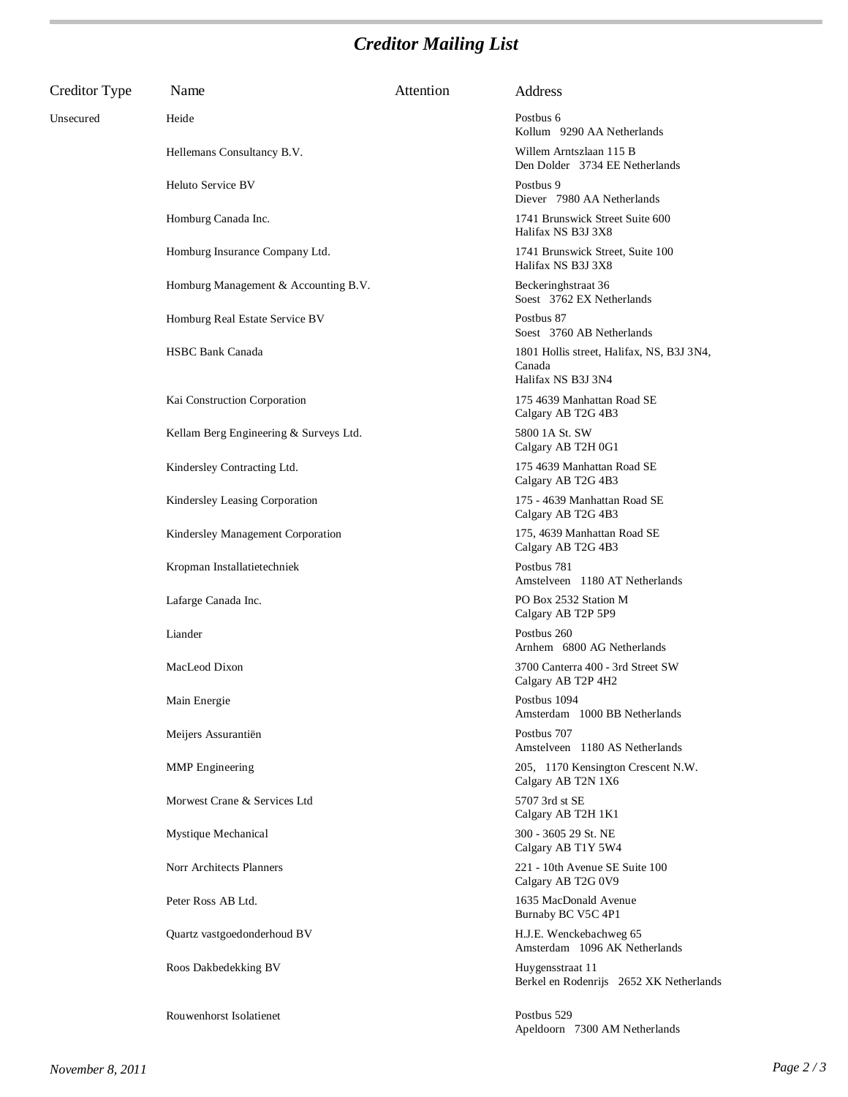## *Creditor Mailing List*

| Creditor Type | Name                                   | Attention | Address                                                                   |
|---------------|----------------------------------------|-----------|---------------------------------------------------------------------------|
| Unsecured     | Heide                                  |           | Postbus 6<br>Kollum 9290 AA Netherlands                                   |
|               | Hellemans Consultancy B.V.             |           | Willem Arntszlaan 115 B<br>Den Dolder 3734 EE Netherlands                 |
|               | Heluto Service BV                      |           | Postbus 9<br>Diever 7980 AA Netherlands                                   |
|               | Homburg Canada Inc.                    |           | 1741 Brunswick Street Suite 600<br>Halifax NS B3J 3X8                     |
|               | Homburg Insurance Company Ltd.         |           | 1741 Brunswick Street, Suite 100<br>Halifax NS B3J 3X8                    |
|               | Homburg Management & Accounting B.V.   |           | Beckeringhstraat 36<br>Soest 3762 EX Netherlands                          |
|               | Homburg Real Estate Service BV         |           | Postbus 87<br>Soest 3760 AB Netherlands                                   |
|               | <b>HSBC Bank Canada</b>                |           | 1801 Hollis street, Halifax, NS, B3J 3N4,<br>Canada<br>Halifax NS B3J 3N4 |
|               | Kai Construction Corporation           |           | 175 4639 Manhattan Road SE<br>Calgary AB T2G 4B3                          |
|               | Kellam Berg Engineering & Surveys Ltd. |           | 5800 1A St. SW<br>Calgary AB T2H 0G1                                      |
|               | Kindersley Contracting Ltd.            |           | 175 4639 Manhattan Road SE<br>Calgary AB T2G 4B3                          |
|               | Kindersley Leasing Corporation         |           | 175 - 4639 Manhattan Road SE<br>Calgary AB T2G 4B3                        |
|               | Kindersley Management Corporation      |           | 175, 4639 Manhattan Road SE<br>Calgary AB T2G 4B3                         |
|               | Kropman Installatietechniek            |           | Postbus 781<br>Amstelveen 1180 AT Netherlands                             |
|               | Lafarge Canada Inc.                    |           | PO Box 2532 Station M<br>Calgary AB T2P 5P9                               |
|               | Liander                                |           | Postbus 260<br>Arnhem 6800 AG Netherlands                                 |
|               | MacLeod Dixon                          |           | 3700 Canterra 400 - 3rd Street SW<br>Calgary AB T2P 4H2                   |
|               | Main Energie                           |           | Postbus 1094<br>Amsterdam 1000 BB Netherlands                             |
|               | Meijers Assurantiën                    |           | Postbus 707<br>Amstelveen 1180 AS Netherlands                             |
|               | <b>MMP</b> Engineering                 |           | 205, 1170 Kensington Crescent N.W.<br>Calgary AB T2N 1X6                  |
|               | Morwest Crane & Services Ltd           |           | 5707 3rd st SE<br>Calgary AB T2H 1K1                                      |
|               | Mystique Mechanical                    |           | 300 - 3605 29 St. NE<br>Calgary AB T1Y 5W4                                |
|               | Norr Architects Planners               |           | 221 - 10th Avenue SE Suite 100<br>Calgary AB T2G 0V9                      |
|               | Peter Ross AB Ltd.                     |           | 1635 MacDonald Avenue<br>Burnaby BC V5C 4P1                               |
|               | Quartz vastgoedonderhoud BV            |           | H.J.E. Wenckebachweg 65<br>Amsterdam 1096 AK Netherlands                  |
|               | Roos Dakbedekking BV                   |           | Huygensstraat 11<br>Berkel en Rodenrijs 2652 XK Netherlands               |
|               | Rouwenhorst Isolatienet                |           | Postbus 529<br>Apeldoorn 7300 AM Netherlands                              |